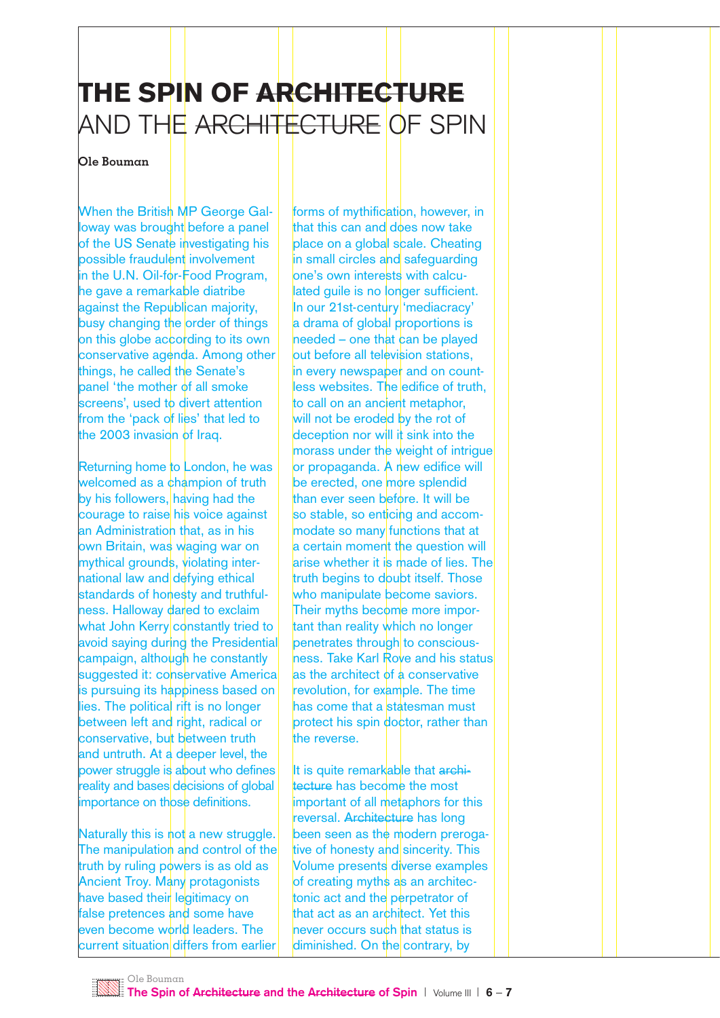## THE SPIN OF ARCHITECTURE AND THE <del>ARCHITECTURE</del> OF SPIN

## **Ole Bouman**

When the British MP George Galloway was brought before a panel of the US Senate investigating his possible fraudulent involvement in the U.N. Oil-for-Food Program, he gave a remarkable diatribe against the Republican majority, busy changing the order of things on this globe according to its own conservative agenda. Among other things, he called the Senate's panel 'the mother of all smoke screens', used to divert attention from the 'pack of lies' that led to the 2003 invasion of Iraq.

Returning home to London, he was welcomed as a champion of truth by his followers, having had the courage to raise his voice against an Administration that, as in his own Britain, was waging war on mythical grounds, violating international law and defying ethical standards of honesty and truthfulness. Halloway dared to exclaim what John Kerry constantly tried to avoid saying during the Presidential campaign, although he constantly suggested it: conservative America is pursuing its happiness based on lies. The political rift is no longer between left and right, radical or conservative, but between truth and untruth. At a deeper level, the power struggle is about who defines reality and bases decisions of global importance on those definitions.

Naturally this is not a new struggle. The manipulation and control of the truth by ruling powers is as old as **Ancient Troy. Many protagonists** have based their legitimacy on false pretences and some have even become world leaders. The current situation differs from earlier

forms of mythification, however, in that this can and does now take place on a global scale. Cheating in small circles and safeguarding one's own interests with calculated quile is no longer sufficient. In our 21st-century 'mediacracy' a drama of global proportions is  $n$  heeded – one that can be played out before all television stations. in every newspaper and on countless websites. The edifice of truth, to call on an ancient metaphor, will not be eroded by the rot of deception nor will it sink into the morass under the weight of intrigue or propaganda. A new edifice will be erected, one more splendid than ever seen before. It will be so stable, so enticing and accommodate so many functions that at a certain moment the question will arise whether it is made of lies. The truth begins to doubt itself. Those who manipulate become saviors. Their myths become more important than reality which no longer penetrates through to consciousness. Take Karl Rove and his status as the architect of a conservative revolution, for example. The time has come that a statesman must protect his spin doctor, rather than the reverse.

It is quite remarkable that architecture has become the most important of all metaphors for this reversal. Architecture has long been seen as the modern prerogative of honesty and sincerity. This Volume presents diverse examples of creating myths as an architectonic act and the perpetrator of that act as an architect. Yet this never occurs such that status is diminished. On the contrary, by